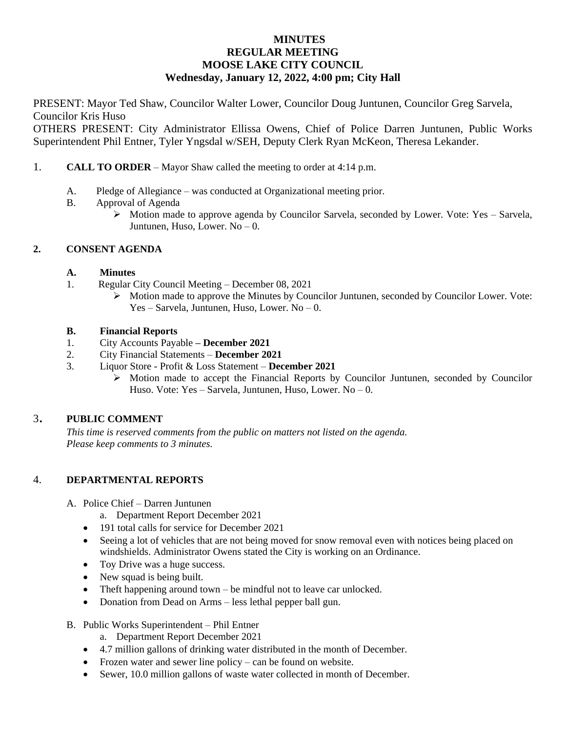# **MINUTES REGULAR MEETING MOOSE LAKE CITY COUNCIL Wednesday, January 12, 2022, 4:00 pm; City Hall**

PRESENT: Mayor Ted Shaw, Councilor Walter Lower, Councilor Doug Juntunen, Councilor Greg Sarvela, Councilor Kris Huso

OTHERS PRESENT: City Administrator Ellissa Owens, Chief of Police Darren Juntunen, Public Works Superintendent Phil Entner, Tyler Yngsdal w/SEH, Deputy Clerk Ryan McKeon, Theresa Lekander.

- 1. **CALL TO ORDER** Mayor Shaw called the meeting to order at 4:14 p.m.
	- A. Pledge of Allegiance was conducted at Organizational meeting prior.
	- B. Approval of Agenda
		- Motion made to approve agenda by Councilor Sarvela, seconded by Lower. Vote: Yes Sarvela, Juntunen, Huso, Lower. No – 0.

# **2. CONSENT AGENDA**

## **A. Minutes**

- 1. Regular City Council Meeting December 08, 2021
	- $\triangleright$  Motion made to approve the Minutes by Councilor Juntunen, seconded by Councilor Lower. Vote: Yes – Sarvela, Juntunen, Huso, Lower. No – 0.

## **B. Financial Reports**

- 1. City Accounts Payable **– December 2021**
- 2. City Financial Statements **December 2021**
- 3. Liquor Store Profit & Loss Statement **December 2021**
	- $\triangleright$  Motion made to accept the Financial Reports by Councilor Juntunen, seconded by Councilor Huso. Vote: Yes – Sarvela, Juntunen, Huso, Lower. No – 0.

# <sup>3</sup>. **PUBLIC COMMENT**

*This time is reserved comments from the public on matters not listed on the agenda. Please keep comments to 3 minutes.*

# 4. **DEPARTMENTAL REPORTS**

- A. Police Chief Darren Juntunen
	- a. Department Report December 2021
	- 191 total calls for service for December 2021
	- Seeing a lot of vehicles that are not being moved for snow removal even with notices being placed on windshields. Administrator Owens stated the City is working on an Ordinance.
	- Toy Drive was a huge success.
	- New squad is being built.
	- Theft happening around town be mindful not to leave car unlocked.
	- Donation from Dead on Arms less lethal pepper ball gun.
- B. Public Works Superintendent Phil Entner
	- a. Department Report December 2021
	- 4.7 million gallons of drinking water distributed in the month of December.
	- Frozen water and sewer line policy can be found on website.
	- Sewer, 10.0 million gallons of waste water collected in month of December.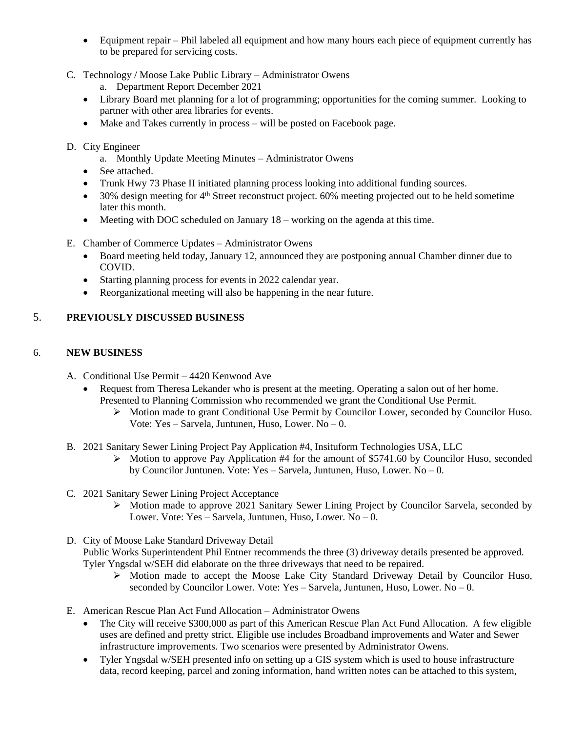- Equipment repair Phil labeled all equipment and how many hours each piece of equipment currently has to be prepared for servicing costs.
- C. Technology / Moose Lake Public Library Administrator Owens
	- a. Department Report December 2021
	- Library Board met planning for a lot of programming; opportunities for the coming summer. Looking to partner with other area libraries for events.
	- Make and Takes currently in process will be posted on Facebook page.
- D. City Engineer
	- a. Monthly Update Meeting Minutes Administrator Owens
	- See attached.
	- Trunk Hwy 73 Phase II initiated planning process looking into additional funding sources.
	- $\bullet$  30% design meeting for 4<sup>th</sup> Street reconstruct project. 60% meeting projected out to be held sometime later this month.
	- Meeting with DOC scheduled on January 18 working on the agenda at this time.
- E. Chamber of Commerce Updates Administrator Owens
	- Board meeting held today, January 12, announced they are postponing annual Chamber dinner due to COVID.
	- Starting planning process for events in 2022 calendar year.
	- Reorganizational meeting will also be happening in the near future.

# 5. **PREVIOUSLY DISCUSSED BUSINESS**

# 6. **NEW BUSINESS**

- A. Conditional Use Permit 4420 Kenwood Ave
	- Request from Theresa Lekander who is present at the meeting. Operating a salon out of her home. Presented to Planning Commission who recommended we grant the Conditional Use Permit.
		- $\triangleright$  Motion made to grant Conditional Use Permit by Councilor Lower, seconded by Councilor Huso. Vote: Yes – Sarvela, Juntunen, Huso, Lower. No – 0.
- B. 2021 Sanitary Sewer Lining Project Pay Application #4, Insituform Technologies USA, LLC
	- $\triangleright$  Motion to approve Pay Application #4 for the amount of \$5741.60 by Councilor Huso, seconded by Councilor Juntunen. Vote: Yes – Sarvela, Juntunen, Huso, Lower. No – 0.
- C. 2021 Sanitary Sewer Lining Project Acceptance
	- $\triangleright$  Motion made to approve 2021 Sanitary Sewer Lining Project by Councilor Sarvela, seconded by Lower. Vote: Yes – Sarvela, Juntunen, Huso, Lower. No – 0.
- D. City of Moose Lake Standard Driveway Detail Public Works Superintendent Phil Entner recommends the three (3) driveway details presented be approved. Tyler Yngsdal w/SEH did elaborate on the three driveways that need to be repaired.
	- $\triangleright$  Motion made to accept the Moose Lake City Standard Driveway Detail by Councilor Huso, seconded by Councilor Lower. Vote: Yes – Sarvela, Juntunen, Huso, Lower. No – 0.
- E. American Rescue Plan Act Fund Allocation Administrator Owens
	- The City will receive \$300,000 as part of this American Rescue Plan Act Fund Allocation. A few eligible uses are defined and pretty strict. Eligible use includes Broadband improvements and Water and Sewer infrastructure improvements. Two scenarios were presented by Administrator Owens.
	- Tyler Yngsdal w/SEH presented info on setting up a GIS system which is used to house infrastructure data, record keeping, parcel and zoning information, hand written notes can be attached to this system,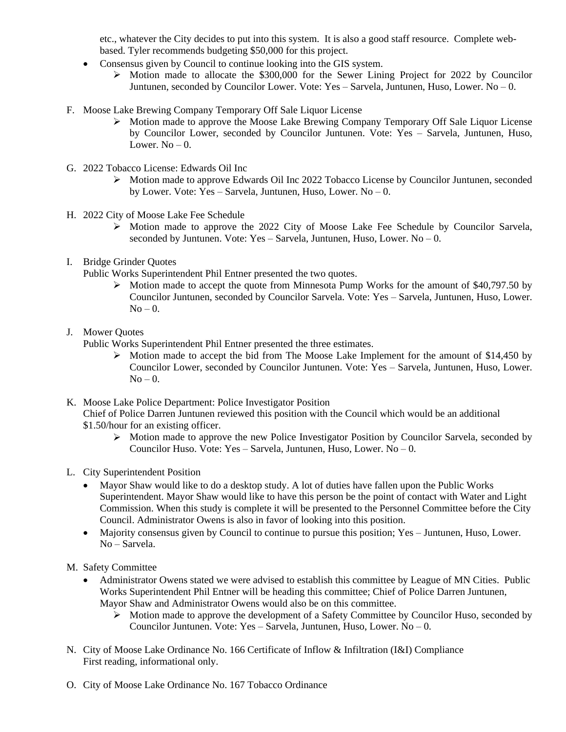etc., whatever the City decides to put into this system. It is also a good staff resource. Complete webbased. Tyler recommends budgeting \$50,000 for this project.

- Consensus given by Council to continue looking into the GIS system.
	- $\triangleright$  Motion made to allocate the \$300,000 for the Sewer Lining Project for 2022 by Councilor Juntunen, seconded by Councilor Lower. Vote: Yes – Sarvela, Juntunen, Huso, Lower. No – 0.
- F. Moose Lake Brewing Company Temporary Off Sale Liquor License
	- $\triangleright$  Motion made to approve the Moose Lake Brewing Company Temporary Off Sale Liquor License by Councilor Lower, seconded by Councilor Juntunen. Vote: Yes – Sarvela, Juntunen, Huso, Lower.  $No = 0$ .
- G. 2022 Tobacco License: Edwards Oil Inc
	- $\triangleright$  Motion made to approve Edwards Oil Inc 2022 Tobacco License by Councilor Juntunen, seconded by Lower. Vote: Yes – Sarvela, Juntunen, Huso, Lower. No – 0.
- H. 2022 City of Moose Lake Fee Schedule
	- $\triangleright$  Motion made to approve the 2022 City of Moose Lake Fee Schedule by Councilor Sarvela, seconded by Juntunen. Vote: Yes – Sarvela, Juntunen, Huso, Lower. No – 0.
- I. Bridge Grinder Quotes
	- Public Works Superintendent Phil Entner presented the two quotes.
		- Motion made to accept the quote from Minnesota Pump Works for the amount of \$40,797.50 by Councilor Juntunen, seconded by Councilor Sarvela. Vote: Yes – Sarvela, Juntunen, Huso, Lower.  $No - 0.$
- J. Mower Quotes

Public Works Superintendent Phil Entner presented the three estimates.

- $\triangleright$  Motion made to accept the bid from The Moose Lake Implement for the amount of \$14,450 by Councilor Lower, seconded by Councilor Juntunen. Vote: Yes – Sarvela, Juntunen, Huso, Lower.  $No - 0$ .
- K. Moose Lake Police Department: Police Investigator Position Chief of Police Darren Juntunen reviewed this position with the Council which would be an additional \$1.50/hour for an existing officer.
	- Motion made to approve the new Police Investigator Position by Councilor Sarvela, seconded by Councilor Huso. Vote: Yes – Sarvela, Juntunen, Huso, Lower. No – 0.
- L. City Superintendent Position
	- Mayor Shaw would like to do a desktop study. A lot of duties have fallen upon the Public Works Superintendent. Mayor Shaw would like to have this person be the point of contact with Water and Light Commission. When this study is complete it will be presented to the Personnel Committee before the City Council. Administrator Owens is also in favor of looking into this position.
	- Majority consensus given by Council to continue to pursue this position; Yes Juntunen, Huso, Lower. No – Sarvela.

M. Safety Committee

- Administrator Owens stated we were advised to establish this committee by League of MN Cities. Public Works Superintendent Phil Entner will be heading this committee; Chief of Police Darren Juntunen, Mayor Shaw and Administrator Owens would also be on this committee.
	- Motion made to approve the development of a Safety Committee by Councilor Huso, seconded by Councilor Juntunen. Vote: Yes – Sarvela, Juntunen, Huso, Lower. No – 0.
- N. City of Moose Lake Ordinance No. 166 Certificate of Inflow & Infiltration (I&I) Compliance First reading, informational only.
- O. City of Moose Lake Ordinance No. 167 Tobacco Ordinance